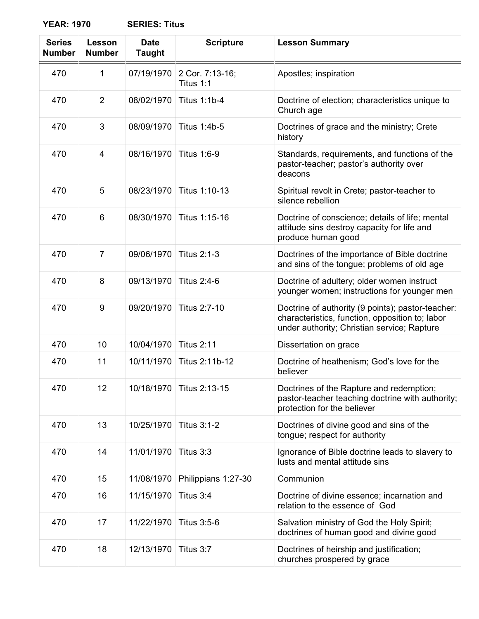**YEAR: 1970 SERIES: Titus**

| <b>Series</b><br><b>Number</b> | Lesson<br><b>Number</b> | <b>Date</b><br><b>Taught</b> | <b>Scripture</b>             | <b>Lesson Summary</b>                                                                                                                               |
|--------------------------------|-------------------------|------------------------------|------------------------------|-----------------------------------------------------------------------------------------------------------------------------------------------------|
| 470                            | 1                       | 07/19/1970                   | 2 Cor. 7:13-16;<br>Titus 1:1 | Apostles; inspiration                                                                                                                               |
| 470                            | $\overline{2}$          | 08/02/1970                   | <b>Titus 1:1b-4</b>          | Doctrine of election; characteristics unique to<br>Church age                                                                                       |
| 470                            | 3                       | 08/09/1970                   | Titus 1:4b-5                 | Doctrines of grace and the ministry; Crete<br>history                                                                                               |
| 470                            | $\overline{4}$          | 08/16/1970                   | <b>Titus 1:6-9</b>           | Standards, requirements, and functions of the<br>pastor-teacher; pastor's authority over<br>deacons                                                 |
| 470                            | 5                       | 08/23/1970                   | Titus 1:10-13                | Spiritual revolt in Crete; pastor-teacher to<br>silence rebellion                                                                                   |
| 470                            | 6                       | 08/30/1970                   | Titus 1:15-16                | Doctrine of conscience; details of life; mental<br>attitude sins destroy capacity for life and<br>produce human good                                |
| 470                            | 7                       | 09/06/1970                   | <b>Titus 2:1-3</b>           | Doctrines of the importance of Bible doctrine<br>and sins of the tongue; problems of old age                                                        |
| 470                            | 8                       | 09/13/1970                   | <b>Titus 2:4-6</b>           | Doctrine of adultery; older women instruct<br>younger women; instructions for younger men                                                           |
| 470                            | 9                       | 09/20/1970                   | Titus 2:7-10                 | Doctrine of authority (9 points); pastor-teacher:<br>characteristics, function, opposition to; labor<br>under authority; Christian service; Rapture |
| 470                            | 10                      | 10/04/1970                   | <b>Titus 2:11</b>            | Dissertation on grace                                                                                                                               |
| 470                            | 11                      | 10/11/1970                   | Titus 2:11b-12               | Doctrine of heathenism; God's love for the<br>believer                                                                                              |
| 470                            | 12                      | 10/18/1970                   | Titus 2:13-15                | Doctrines of the Rapture and redemption;<br>pastor-teacher teaching doctrine with authority;<br>protection for the believer                         |
| 470                            | 13                      | 10/25/1970                   | <b>Titus 3:1-2</b>           | Doctrines of divine good and sins of the<br>tongue; respect for authority                                                                           |
| 470                            | 14                      | 11/01/1970                   | Titus 3:3                    | Ignorance of Bible doctrine leads to slavery to<br>lusts and mental attitude sins                                                                   |
| 470                            | 15                      | 11/08/1970                   | Philippians 1:27-30          | Communion                                                                                                                                           |
| 470                            | 16                      | 11/15/1970                   | Titus 3:4                    | Doctrine of divine essence; incarnation and<br>relation to the essence of God                                                                       |
| 470                            | 17                      | 11/22/1970                   | Titus 3:5-6                  | Salvation ministry of God the Holy Spirit;<br>doctrines of human good and divine good                                                               |
| 470                            | 18                      | 12/13/1970                   | Titus 3:7                    | Doctrines of heirship and justification;<br>churches prospered by grace                                                                             |